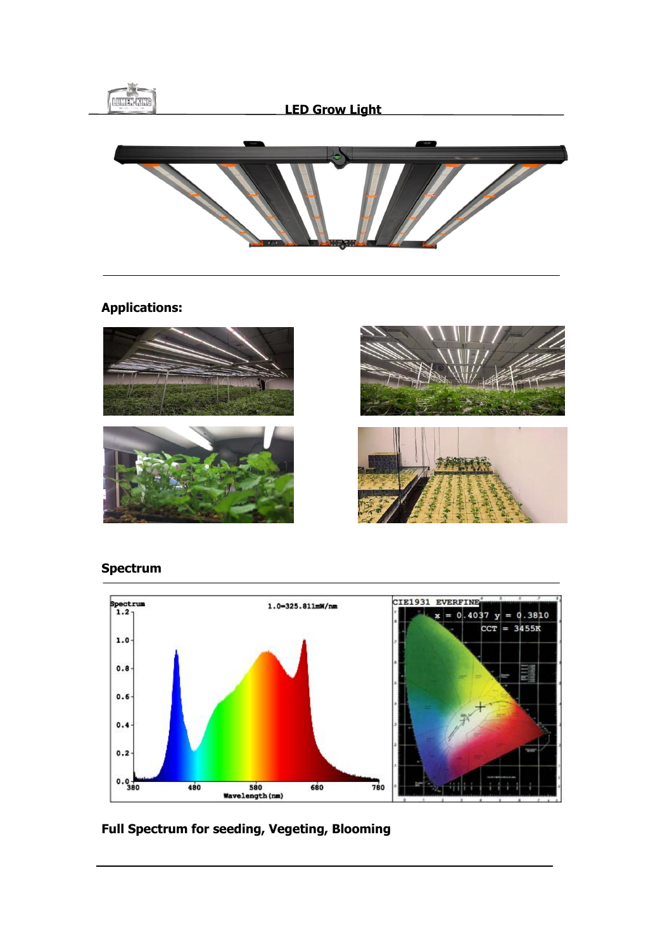

## **Applications:**



## **Spectrum**



# **Full Spectrum for seeding, Vegeting, Blooming**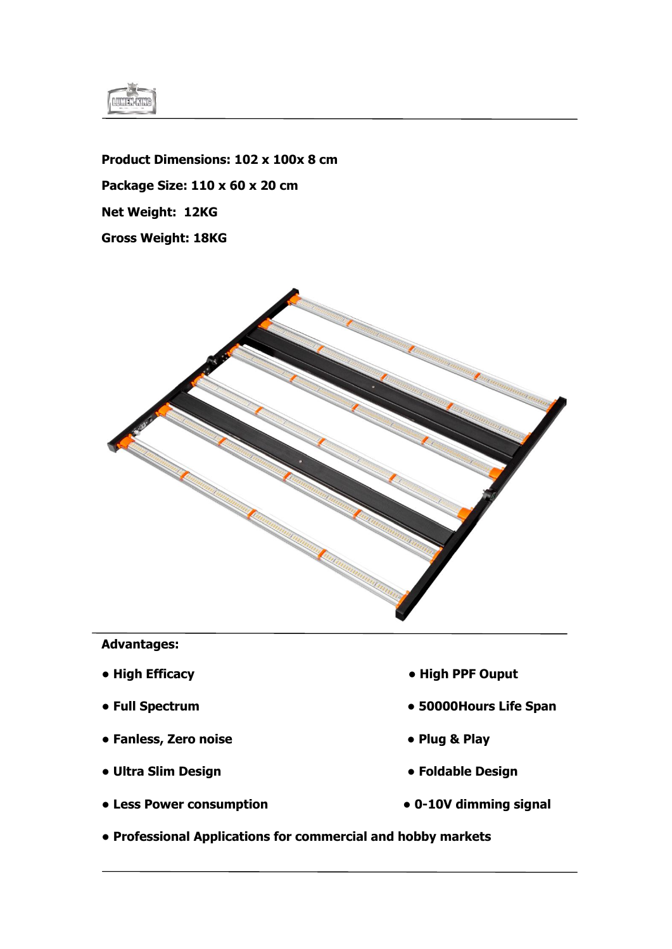

**Product Dimensions: 102 x 100x 8 cm Package Size: 110 x 60 x 20 cm Net Weight: 12KG Gross Weight: 18KG**



#### **Advantages:**

- 
- 
- **Fanless, Zero noise Plug & Play**
- Ultra Slim Design **below Design below Product and Product 2 and Product 2 and Product 2 and Product 2 and Product 2 and Product 2 and Product 2 and Product 2 and Product 2 and Product 2 and Product 2 and Product 2**
- **Less Power consumption 0-10V dimming signal**
- **High Efficacy High PPF Ouput**
- **Full Spectrum 50000Hours Life Span**
	-
	-
	-
- **Professional Applications for commercial and hobby markets**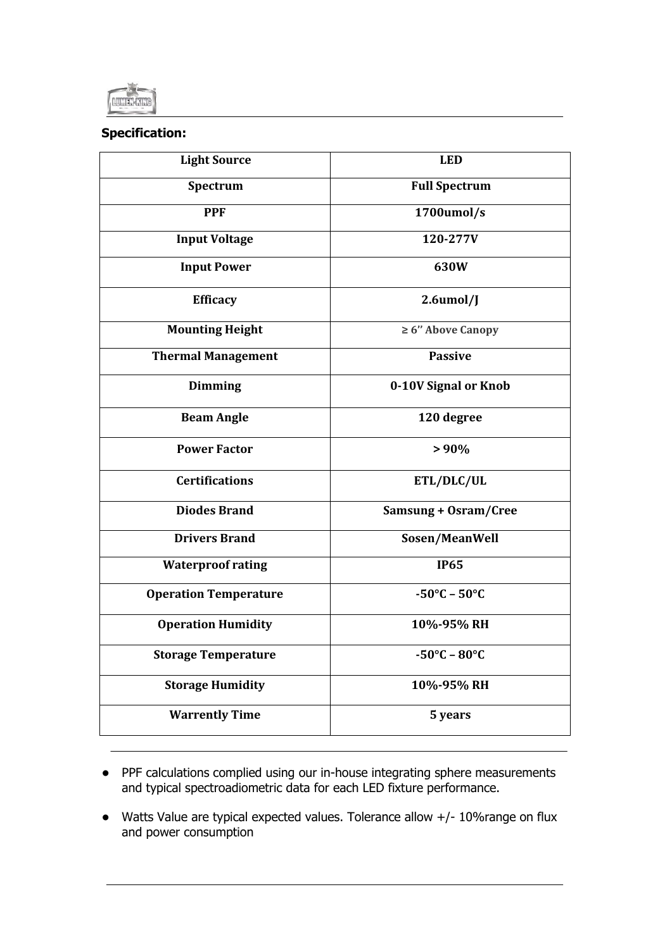

## **Specification:**

| <b>Light Source</b>          | <b>LED</b>                       |
|------------------------------|----------------------------------|
| Spectrum                     | <b>Full Spectrum</b>             |
| <b>PPF</b>                   | 1700umol/s                       |
| <b>Input Voltage</b>         | 120-277V                         |
| <b>Input Power</b>           | 630W                             |
| <b>Efficacy</b>              | $2.6$ umol/J                     |
| <b>Mounting Height</b>       | $\geq 6$ " Above Canopy          |
| <b>Thermal Management</b>    | <b>Passive</b>                   |
| <b>Dimming</b>               | 0-10V Signal or Knob             |
| <b>Beam Angle</b>            | 120 degree                       |
| <b>Power Factor</b>          | $> 90\%$                         |
| <b>Certifications</b>        | ETL/DLC/UL                       |
| <b>Diodes Brand</b>          | Samsung + Osram/Cree             |
| <b>Drivers Brand</b>         | Sosen/MeanWell                   |
| <b>Waterproof rating</b>     | <b>IP65</b>                      |
| <b>Operation Temperature</b> | $-50^{\circ}$ C – $50^{\circ}$ C |
| <b>Operation Humidity</b>    | 10%-95% RH                       |
| <b>Storage Temperature</b>   | $-50^{\circ}$ C – $80^{\circ}$ C |
| <b>Storage Humidity</b>      | 10%-95% RH                       |
| <b>Warrently Time</b>        | 5 years                          |

- PPF calculations complied using our in-house integrating sphere measurements and typical spectroadiometric data for each LED fixture performance.
- Watts Value are typical expected values. Tolerance allow +/- 10%range on flux and power consumption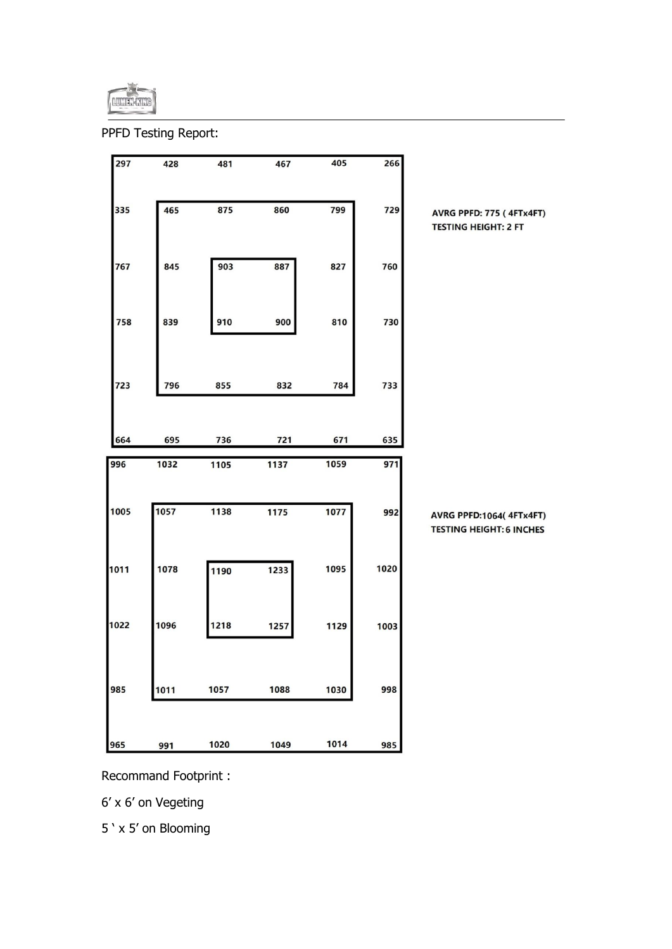

PPFD Testing Report:



Recommand Footprint :

6' x 6' on Vegeting

5 ' x 5' on Blooming